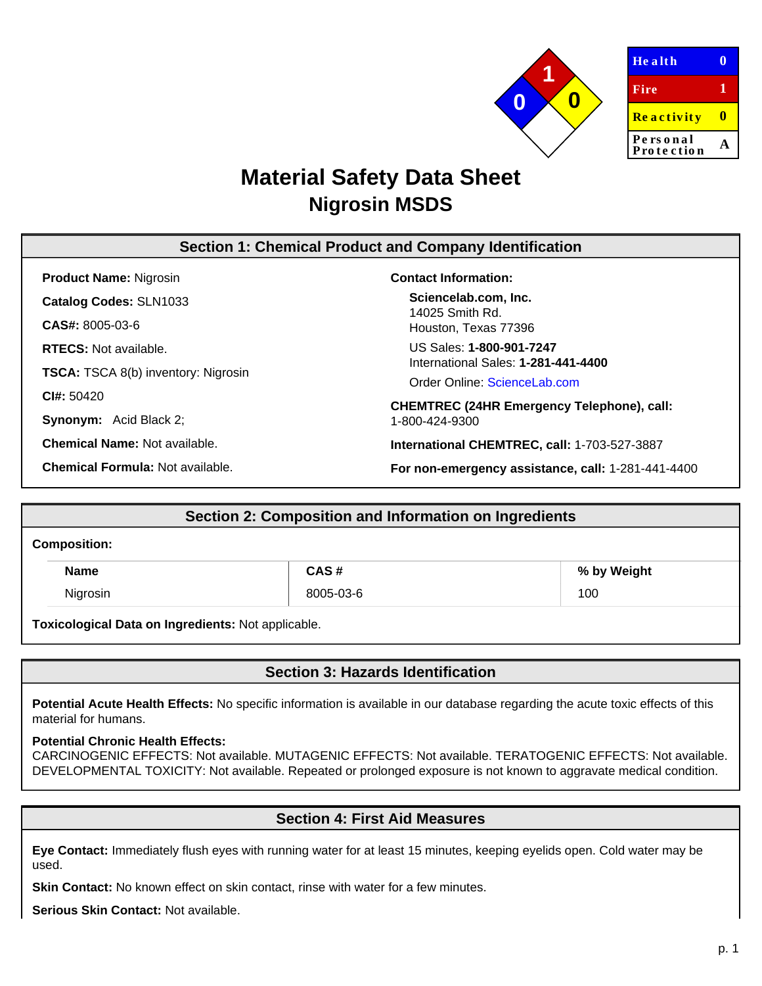

| <b>Health</b>          |   |
|------------------------|---|
| Fire                   | 1 |
| <b>Reactivity</b>      | Ш |
| Personal<br>Protection |   |
|                        |   |

# **Material Safety Data Sheet Nigrosin MSDS**

# **Section 1: Chemical Product and Company Identification**

**Product Name:** Nigrosin **Catalog Codes:** SLN1033 **CAS#:** 8005-03-6 **RTECS:** Not available. **TSCA:** TSCA 8(b) inventory: Nigrosin **CI#:** 50420

**Synonym:** Acid Black 2;

**Chemical Name:** Not available.

**Chemical Formula:** Not available.

### **Contact Information:**

**Sciencelab.com, Inc.** 14025 Smith Rd. Houston, Texas 77396

US Sales: **1-800-901-7247** International Sales: **1-281-441-4400**

Order Online: [ScienceLab.com](http://www.sciencelab.com/)

**CHEMTREC (24HR Emergency Telephone), call:** 1-800-424-9300

**International CHEMTREC, call:** 1-703-527-3887

**For non-emergency assistance, call:** 1-281-441-4400

# **Section 2: Composition and Information on Ingredients**

#### **Composition:**

| <b>Name</b> | CAS #     | % by Weight |
|-------------|-----------|-------------|
| Nigrosin    | 8005-03-6 | 100         |

**Toxicological Data on Ingredients:** Not applicable.

# **Section 3: Hazards Identification**

**Potential Acute Health Effects:** No specific information is available in our database regarding the acute toxic effects of this material for humans.

### **Potential Chronic Health Effects:**

CARCINOGENIC EFFECTS: Not available. MUTAGENIC EFFECTS: Not available. TERATOGENIC EFFECTS: Not available. DEVELOPMENTAL TOXICITY: Not available. Repeated or prolonged exposure is not known to aggravate medical condition.

# **Section 4: First Aid Measures**

**Eye Contact:** Immediately flush eyes with running water for at least 15 minutes, keeping eyelids open. Cold water may be used.

**Skin Contact:** No known effect on skin contact, rinse with water for a few minutes.

**Serious Skin Contact:** Not available.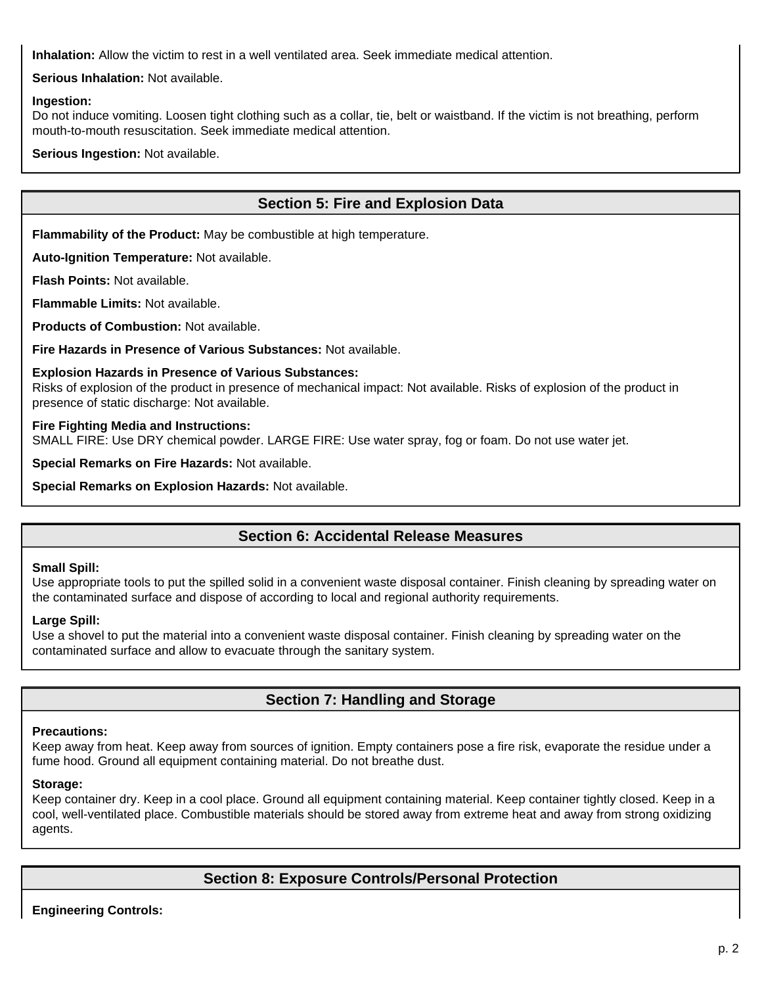**Inhalation:** Allow the victim to rest in a well ventilated area. Seek immediate medical attention.

**Serious Inhalation:** Not available.

### **Ingestion:**

Do not induce vomiting. Loosen tight clothing such as a collar, tie, belt or waistband. If the victim is not breathing, perform mouth-to-mouth resuscitation. Seek immediate medical attention.

**Serious Ingestion:** Not available.

# **Section 5: Fire and Explosion Data**

**Flammability of the Product:** May be combustible at high temperature.

**Auto-Ignition Temperature:** Not available.

**Flash Points:** Not available.

**Flammable Limits:** Not available.

**Products of Combustion:** Not available.

**Fire Hazards in Presence of Various Substances:** Not available.

### **Explosion Hazards in Presence of Various Substances:**

Risks of explosion of the product in presence of mechanical impact: Not available. Risks of explosion of the product in presence of static discharge: Not available.

### **Fire Fighting Media and Instructions:**

SMALL FIRE: Use DRY chemical powder. LARGE FIRE: Use water spray, fog or foam. Do not use water jet.

**Special Remarks on Fire Hazards:** Not available.

**Special Remarks on Explosion Hazards:** Not available.

# **Section 6: Accidental Release Measures**

### **Small Spill:**

Use appropriate tools to put the spilled solid in a convenient waste disposal container. Finish cleaning by spreading water on the contaminated surface and dispose of according to local and regional authority requirements.

### **Large Spill:**

Use a shovel to put the material into a convenient waste disposal container. Finish cleaning by spreading water on the contaminated surface and allow to evacuate through the sanitary system.

# **Section 7: Handling and Storage**

### **Precautions:**

Keep away from heat. Keep away from sources of ignition. Empty containers pose a fire risk, evaporate the residue under a fume hood. Ground all equipment containing material. Do not breathe dust.

### **Storage:**

Keep container dry. Keep in a cool place. Ground all equipment containing material. Keep container tightly closed. Keep in a cool, well-ventilated place. Combustible materials should be stored away from extreme heat and away from strong oxidizing agents.

# **Section 8: Exposure Controls/Personal Protection**

**Engineering Controls:**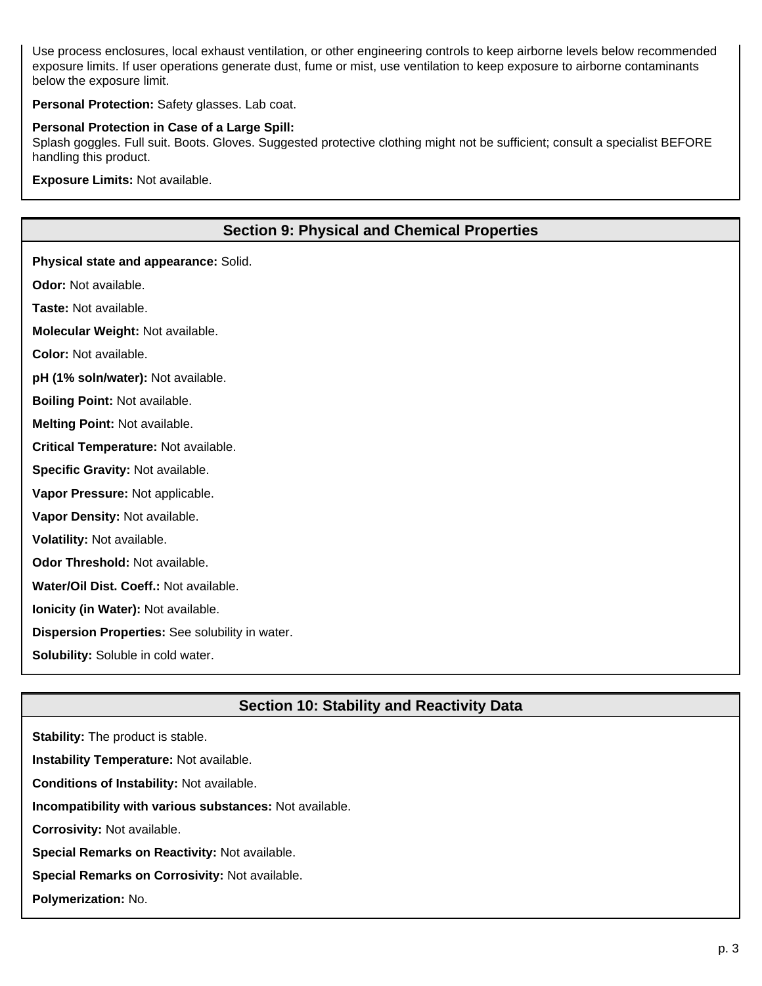Use process enclosures, local exhaust ventilation, or other engineering controls to keep airborne levels below recommended exposure limits. If user operations generate dust, fume or mist, use ventilation to keep exposure to airborne contaminants below the exposure limit.

**Personal Protection:** Safety glasses. Lab coat.

#### **Personal Protection in Case of a Large Spill:**

Splash goggles. Full suit. Boots. Gloves. Suggested protective clothing might not be sufficient; consult a specialist BEFORE handling this product.

**Exposure Limits:** Not available.

# **Section 9: Physical and Chemical Properties**

**Physical state and appearance:** Solid.

**Odor:** Not available.

**Taste:** Not available.

**Molecular Weight:** Not available.

**Color:** Not available.

**pH (1% soln/water):** Not available.

**Boiling Point:** Not available.

**Melting Point:** Not available.

**Critical Temperature:** Not available.

**Specific Gravity:** Not available.

**Vapor Pressure:** Not applicable.

**Vapor Density:** Not available.

**Volatility:** Not available.

**Odor Threshold:** Not available.

**Water/Oil Dist. Coeff.:** Not available.

**Ionicity (in Water):** Not available.

**Dispersion Properties:** See solubility in water.

**Solubility:** Soluble in cold water.

# **Section 10: Stability and Reactivity Data**

**Stability:** The product is stable. **Instability Temperature:** Not available. **Conditions of Instability:** Not available. **Incompatibility with various substances:** Not available. **Corrosivity:** Not available.

**Special Remarks on Reactivity:** Not available.

**Special Remarks on Corrosivity:** Not available.

**Polymerization:** No.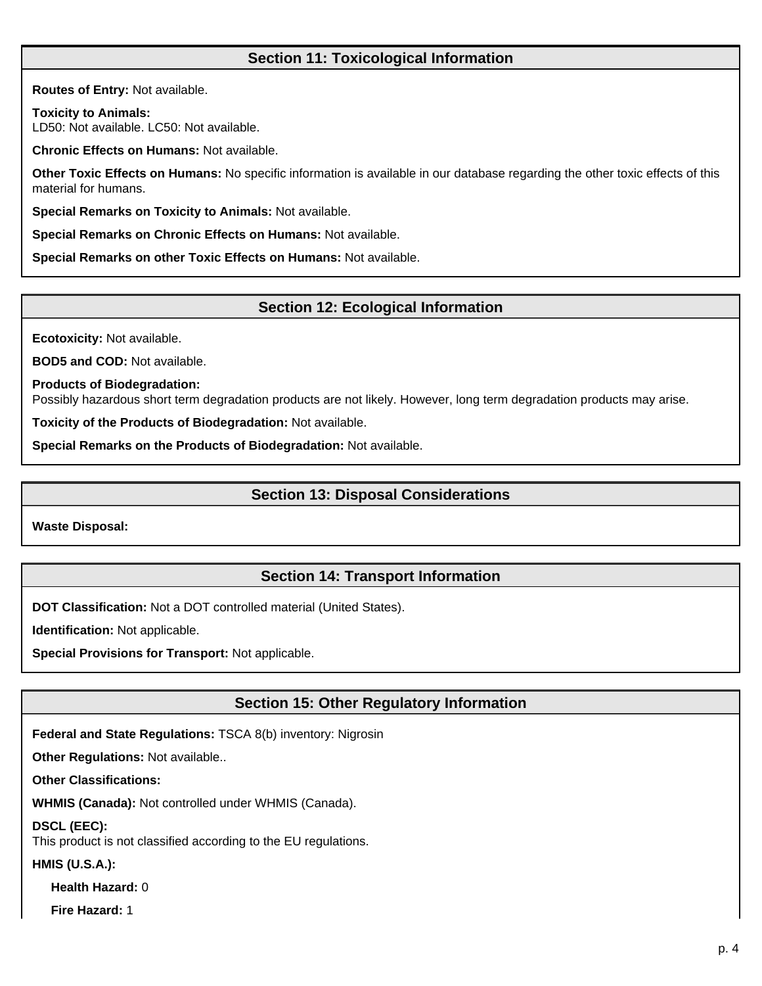# **Section 11: Toxicological Information**

**Routes of Entry:** Not available.

**Toxicity to Animals:** LD50: Not available. LC50: Not available.

**Chronic Effects on Humans:** Not available.

**Other Toxic Effects on Humans:** No specific information is available in our database regarding the other toxic effects of this material for humans.

**Special Remarks on Toxicity to Animals:** Not available.

**Special Remarks on Chronic Effects on Humans:** Not available.

**Special Remarks on other Toxic Effects on Humans:** Not available.

# **Section 12: Ecological Information**

**Ecotoxicity:** Not available.

**BOD5 and COD:** Not available.

**Products of Biodegradation:**

Possibly hazardous short term degradation products are not likely. However, long term degradation products may arise.

**Toxicity of the Products of Biodegradation:** Not available.

**Special Remarks on the Products of Biodegradation:** Not available.

# **Section 13: Disposal Considerations**

**Waste Disposal:**

# **Section 14: Transport Information**

**DOT Classification:** Not a DOT controlled material (United States).

**Identification:** Not applicable.

**Special Provisions for Transport:** Not applicable.

# **Section 15: Other Regulatory Information**

**Federal and State Regulations:** TSCA 8(b) inventory: Nigrosin

**Other Regulations:** Not available..

**Other Classifications:**

**WHMIS (Canada):** Not controlled under WHMIS (Canada).

**DSCL (EEC):**

This product is not classified according to the EU regulations.

**HMIS (U.S.A.):**

**Health Hazard:** 0

**Fire Hazard:** 1